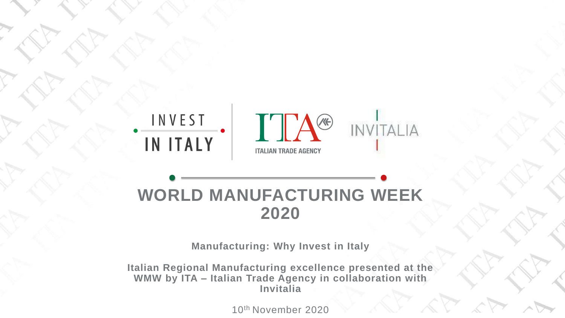THE POWERPOINT PRESENTATION

## INVEST IN ITALY



## **WORLD MANUFACTURING WEEK 2020**

**Manufacturing: Why Invest in Italy**

**Italian Regional Manufacturing excellence presented at the WMW by ITA – Italian Trade Agency in collaboration with Invitalia**

10th November 2020

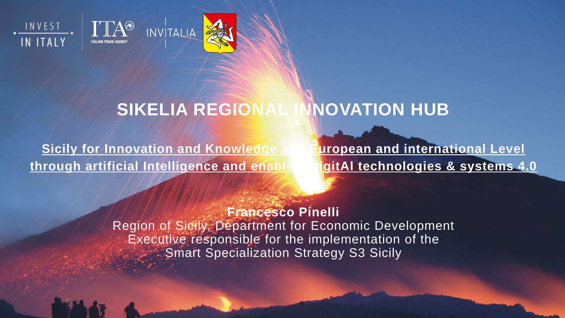





## **SIKELIA REGIONAL INNOVATION HUB**

**Sicily for Innovation and Knowledge at European and international Level through artificial Intelligence and enabling digitAl technologies & systems 4.0**

> **Francesco Pinelli** Region of Sicily, Department for Economic Development Executive responsible for the implementation of the Smart Specialization Strategy S3 Sicily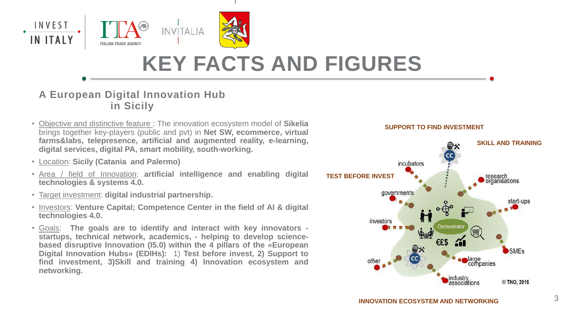- Objective and distinctive feature : The innovation ecosystem model of **Sikelia** brings together key-players (public and pvt) in **Net SW, ecommerce, virtual farms&labs, telepresence, artificial and augmented reality, e-learning, digital services, digital PA, smart mobility, south-working.**
- Location: **Sicily (Catania and Palermo)**
- Area / field of Innovation: **artificial intelligence and enabling digital technologies & systems 4.0.**
- Target investment: **digital industrial partnership.**
- Investors: **Venture Capital; Competence Center in the field of AI & digital technologies 4.0.**
- Goals: **The goals are to identify and interact with key innovators startups, technical network, academics, - helping to develop sciencebased disruptive Innovation (I5.0) within the 4 pillars of the «European Digital Innovation Hubs» (EDIHs):** 1) **Test before invest, 2) Support to find investment, 3)Skill and training 4) Innovation ecosystem and networking.**

## **A European Digital Innovation Hub in Sicily**



# **KEY FACTS AND FIGURES**



### **SUPPORT TO FIND INVESTMENT**

**INNOVATION ECOSYSTEM AND NETWORKING**

)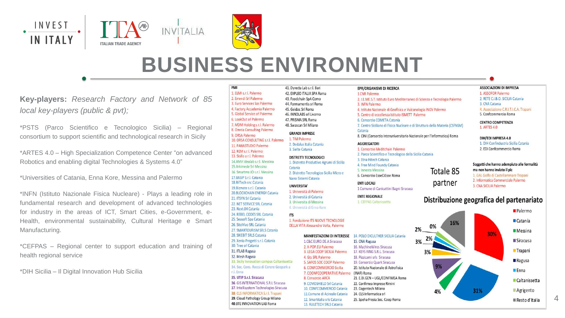**Key-players:** *Research Factory and Network of 85 local key-players (public & pvt);*

\*PSTS (Parco Scientifico e Tecnologico Sicilia) – Regional consortium to support scientific and technological research in Sicily

\*ARTES 4.0 – High Specialization Competence Center "on advanced Robotics and enabling digital Technologies & Systems 4.0"

\*Universities of Catania, Enna Kore, Messina and Palermo

\*INFN (Istituto Nazionale Fisica Nucleare) - Plays a leading role in fundamental research and development of advanced technologies for industry in the areas of ICT, Smart Cities, e-Government, e-Health, environmental sustainability, Cultural Heritage e Smart Manufacturing.

\*CEFPAS – Regional center to support education and training of health regional service

\*DIH Sicilia – Il Digital Innovation Hub Sicilia

### PMI

1. ELMI s.r.l. Palermo 2. Errendi Srl Palermo 3. Euro Services Sas Palermo 4. Factory Accademia Palermo 5. Global Service srl Palermo 6. LookOut srl Palermo 7. MDM Holding s.r.l. Palermo 8. Omnia Consulting Palermo 9. ORSA Palermo 10. ORSA CONSULTING s.r.l. Palermo 11. PANASTUDIO Palermo 12. REM s.r.l. Palermo 13. Sisifo a r.l. Palermo 14.AMV Idealab s.r.l. Messina 15.Arkimede Srl Messina 16. Smartme. IO s.r.l. Messina 17.BASIP S.r.l. Catania 18. BilTech snc Catania 19. Bizmate s.r.l. Catania **20.BLOCKCHAIN ENERGY Catania** 21. ITSYN Srl Catania 22. NET SERVICE SRL Catania 23. Next.04 Catania 24. REBEL CODES SRL Catania 25. Seasoft Spa Catania 26. SitoVivo SRL Catania 27. SMARTOURISM SRLS Catania 28. SIKEBIT SRLS Catania 29. Xenia Progetti s.r.l. Catania 30. Tree srl Catania 31. ITLAB Ragusa 32. Mesh Ragusa 33. Sicily Innovation campus Caltanissetta 34. Soc. Cons. Rocca di Cerere Geopark a r.l. Enna

### 35. UTIP S.r.l. Siracusa

36. GIS INTERNATIONAL S.R.L Siracusa 37. Intellisystem Technologies Siracusa 38. CLS INFORMATICA S.r.l. Trapani

39. Cloud Pathology Group Milano 40.BTE INNOVATION LAB Roma

#### 41. Dyrecta Lab s.r.l. Bari

- 42. EXPLEO ITALIA SPA Roma
- 43. Foodchain SpA Como
- 44. Formamentis srl Roma
- 45. Geidoc Srl Roma
- 46. INNOLABS srl Livorno
- 47. PRISMA SRL Roma
- 48. Swascan Srl Milano

### **GRANDI IMPRESE**

1. TIM Palermo 2. Dedalus Italia Catania 3. Sielte Catania

#### DISTRETTI TECNOLOGICI

1. Distretto Produttivo Agrumi di Sicilia Catania 2. Distretto Tecnologico Sicilia Micro e Nano Sistemi Catania

### UNIVERSITA'

1. Università di Palermo 2. Università di Catania 3. Universita di Messina 4. Università di Enna Kore

### **ITS**

1. Fondazione ITS NUOVE TECNOLOGIE DELLA VITA Alessandro Volta, Palermo

### **MANIFESTAZIONI DI INTERESSE**

1.C&C EURO.DE.A Siracusa 2. X-POP.EU Palermo 3. LEGA COOP SICILIA Palermo 4. Gts SRL Palermo 5. SAFOS SOC COOP Palermo 6. CONFCOMMERCIO Sicilia 7. COONFCOOPERATIVE Palermo (INAF) Roma 8. Consorzio ARCA 9. COVIDSHIELD Srl Catania 10. CONFCOMMERCIO Catania 11. Comune di Acireale Catania 12. Smartitalia srls Catania 13. RULETECH SRLS Catania

#### **EPR/ORGANISMI DI RICERCA**

#### 1 CNR Palermo

- 2. I.E.ME.S.T. Istituto Euro Mediterraneo di Scienza e Tecnologia Palermo
- 3. INFN Palermo
- 4. Istituto Nazionale di Geofisica e Vulcanologia INGV Palermo
- 5. Centro di eccellenza Istituto ISMETT Palermo
- 6. Consorzio COMETA Catania

7. Centro Siciliano di Fisica Nucleare e di Struttura della Materia (CSFNSM) Catania

Totale 85

partner

8. CINI (Consorzio Interuniversitario Nazionale per l'Informatica) Roma

#### **AGGREGATORI**

- 1. Consorzio Meditchain Palermo
- 2. Parco Scientifico e Tecnologico della Sicilia Catania
- 3. Etna Hitech Catania
- 4. Free Mind Foundy Catania
- 5. Innesta Messina
- 6. Consorzio EsseCiEsse Roma

#### **ENTI LOCALI**

1 Comune di Canicattini Bagni Siracusa

#### **ENTE REGIONALE**

1. CEFPAS Caltanissetta

#### **ASSOCIAZIONI DI IMPRESA** 1. ASSOFOR Palermo

- 2. RETE C.I.B.O. SICILIA Catania
- 3. CNA Catania
- 4. Associazione C.R.I.T.I.C.A. Trapani
- 5. Confcommercio Roma

**CENTRO COMPETENZA** 1. ARTES 4.0

#### DIH/EDI IMPRESA 4.0

- 1. DIH Confindustria Sicilia Catania
- 2. EDI Confcommercio Roma

#### Soggetti che hanno adempiuto alle formalità ma non hanno inviato il pic



- 1. GAL Golfo di Castellammare Trapani 2. Informatica Commerciale Palermo
- 3. CNA SICILIA Palermo
- 

# **BUSINESS ENVIRONMENT**

### Distribuzione geografica del partenariato

14. POLO DICULTHER SICILIA Catania 3% 15. CNA Ragusa 16. MachineWires Siracusa 17. KEYS RING S.R.L. Siracusa 18. Pizzicami srls Siracusa 19. Consorzio Quark Siracusa 20. Istituto Nazionale di Astrofisica 21. E.BI.GEN - UGL/CONFIMEA Roma 22. Confimea Imprese Rimini 23. Cogentech Milano 24. CLS Informatica srl 25. Speha Fresia Soc. Coop Roma

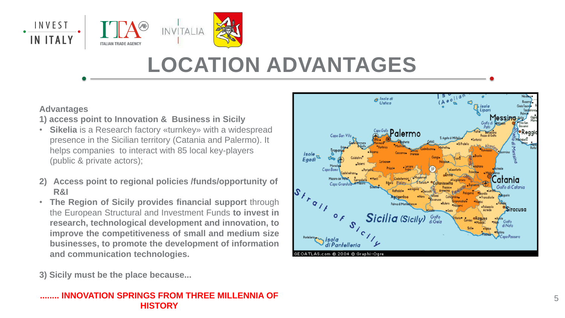## **Advantages**

**1) access point to Innovation & Business in Sicily**

- **Sikelia** is a Research factory «turnkey» with a widespread presence in the Sicilian territory (Catania and Palermo). It helps companies to interact with 85 local key-players (public & private actors);
- **2) Access point to regional policies /funds/opportunity of R&I**
- **The Region of Sicily provides financial support** through the European Structural and Investment Funds **to invest in research, technological development and innovation, to improve the competitiveness of small and medium size businesses, to promote the development of information and communication technologies.**

**3) Sicily must be the place because...**

### **........ INNOVATION SPRINGS FROM THREE MILLENNIA OF HISTORY**





# **LOCATION ADVANTAGES**

isole Eaadi

 $s_{\lambda_{\mathcal{F}_{\mathcal{Q}}}}$ 

Isola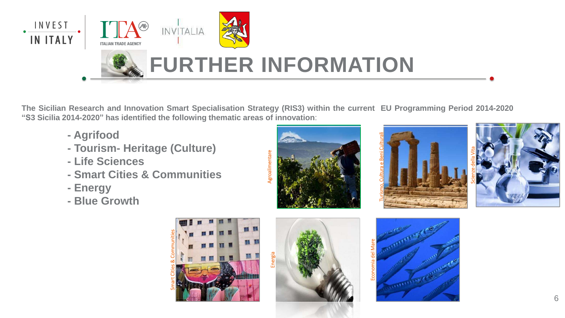















The Sicilian Research and Innovation Smart Specialisation Strategy (RIS3) within the current EU Programming Period 2014-2020 **"S3 Sicilia 2014-2020" has identified the following thematic areas of innovation**:

- **- Agrifood**
- **- Tourism- Heritage (Culture)**
- **- Life Sciences**
- **- Smart Cities & Communities**
- **- Energy**
- **- Blue Growth**